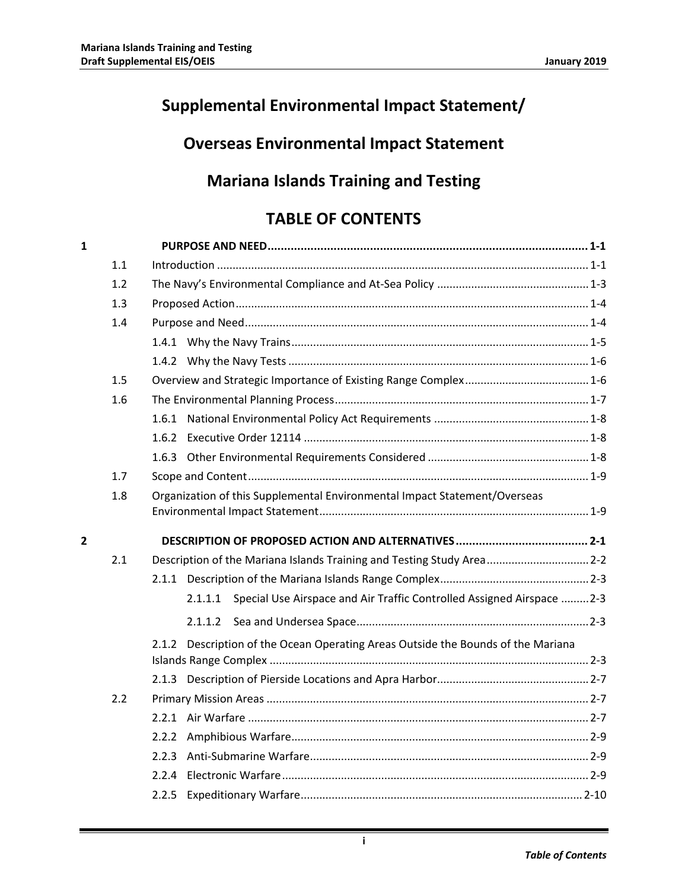# **Supplemental Environmental Impact Statement/**

## **Overseas Environmental Impact Statement**

## **Mariana Islands Training and Testing**

## **TABLE OF CONTENTS**

| 1 |     |                                                                                  |  |  |  |  |
|---|-----|----------------------------------------------------------------------------------|--|--|--|--|
|   | 1.1 |                                                                                  |  |  |  |  |
|   | 1.2 |                                                                                  |  |  |  |  |
|   | 1.3 |                                                                                  |  |  |  |  |
|   | 1.4 |                                                                                  |  |  |  |  |
|   |     |                                                                                  |  |  |  |  |
|   |     |                                                                                  |  |  |  |  |
|   | 1.5 |                                                                                  |  |  |  |  |
|   | 1.6 |                                                                                  |  |  |  |  |
|   |     |                                                                                  |  |  |  |  |
|   |     |                                                                                  |  |  |  |  |
|   |     |                                                                                  |  |  |  |  |
|   | 1.7 |                                                                                  |  |  |  |  |
|   | 1.8 | Organization of this Supplemental Environmental Impact Statement/Overseas        |  |  |  |  |
|   |     |                                                                                  |  |  |  |  |
| 2 |     |                                                                                  |  |  |  |  |
|   | 2.1 | Description of the Mariana Islands Training and Testing Study Area 2-2           |  |  |  |  |
|   |     |                                                                                  |  |  |  |  |
|   |     | 2.1.1.1 Special Use Airspace and Air Traffic Controlled Assigned Airspace  2-3   |  |  |  |  |
|   |     |                                                                                  |  |  |  |  |
|   |     | 2.1.2 Description of the Ocean Operating Areas Outside the Bounds of the Mariana |  |  |  |  |
|   |     |                                                                                  |  |  |  |  |
|   | 2.2 |                                                                                  |  |  |  |  |
|   |     |                                                                                  |  |  |  |  |
|   |     | 2.2.2                                                                            |  |  |  |  |
|   |     | 2.2.3                                                                            |  |  |  |  |
|   |     | 2.2.4                                                                            |  |  |  |  |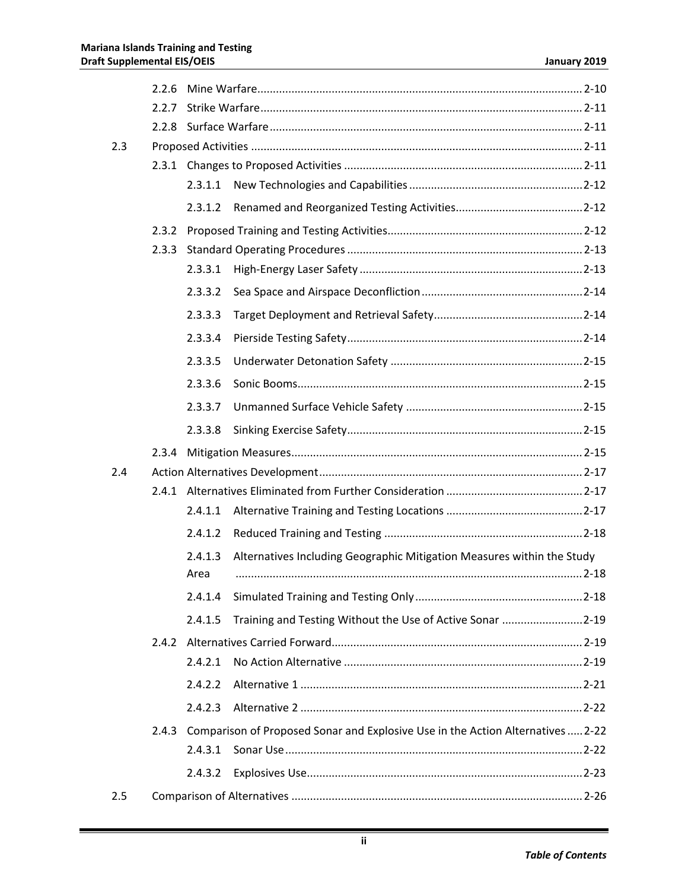|     | 2.2.6 |         |                                                                                 |  |
|-----|-------|---------|---------------------------------------------------------------------------------|--|
|     | 2.2.7 |         |                                                                                 |  |
|     |       |         |                                                                                 |  |
| 2.3 |       |         |                                                                                 |  |
|     |       |         |                                                                                 |  |
|     |       | 2.3.1.1 |                                                                                 |  |
|     |       | 2.3.1.2 |                                                                                 |  |
|     | 2.3.2 |         |                                                                                 |  |
|     | 2.3.3 |         |                                                                                 |  |
|     |       | 2.3.3.1 |                                                                                 |  |
|     |       | 2.3.3.2 |                                                                                 |  |
|     |       | 2.3.3.3 |                                                                                 |  |
|     |       | 2.3.3.4 |                                                                                 |  |
|     |       | 2.3.3.5 |                                                                                 |  |
|     |       | 2.3.3.6 |                                                                                 |  |
|     |       | 2.3.3.7 |                                                                                 |  |
|     |       | 2.3.3.8 |                                                                                 |  |
|     | 2.3.4 |         |                                                                                 |  |
| 2.4 |       |         |                                                                                 |  |
|     |       |         |                                                                                 |  |
|     |       |         |                                                                                 |  |
|     |       | 2.4.1.1 |                                                                                 |  |
|     |       | 2.4.1.2 |                                                                                 |  |
|     |       | 2.4.1.3 | Alternatives Including Geographic Mitigation Measures within the Study          |  |
|     |       | Area    |                                                                                 |  |
|     |       | 2.4.1.4 |                                                                                 |  |
|     |       | 2.4.1.5 | Training and Testing Without the Use of Active Sonar 2-19                       |  |
|     | 2.4.2 |         |                                                                                 |  |
|     |       | 2.4.2.1 |                                                                                 |  |
|     |       | 2.4.2.2 |                                                                                 |  |
|     |       | 2.4.2.3 |                                                                                 |  |
|     | 2.4.3 |         | Comparison of Proposed Sonar and Explosive Use in the Action Alternatives  2-22 |  |
|     |       | 2.4.3.1 |                                                                                 |  |
|     |       | 2.4.3.2 |                                                                                 |  |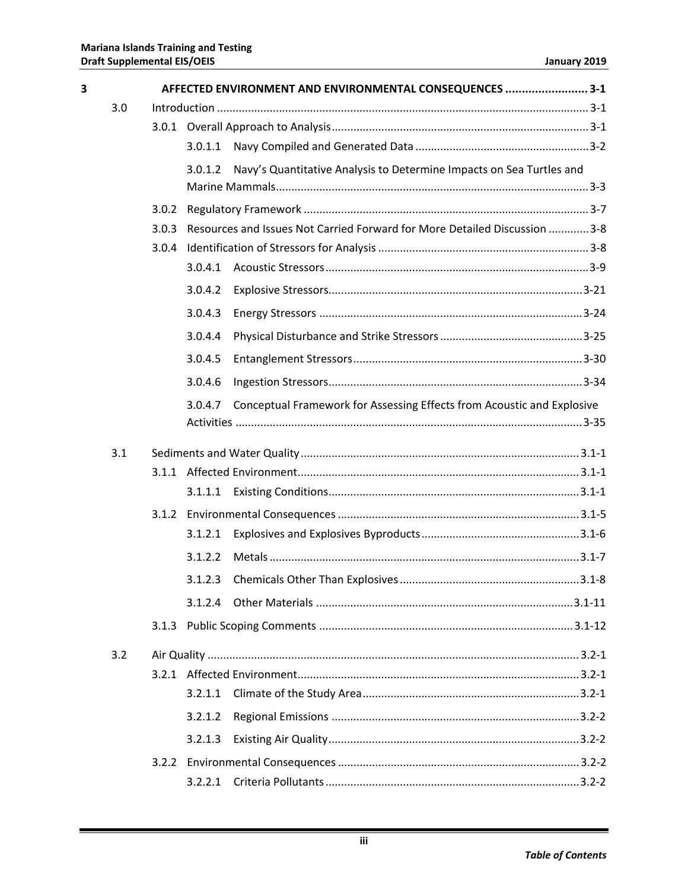| $\overline{\mathbf{3}}$ |     | AFFECTED ENVIRONMENT AND ENVIRONMENTAL CONSEQUENCES  3-1 |         |                                                                            |  |  |
|-------------------------|-----|----------------------------------------------------------|---------|----------------------------------------------------------------------------|--|--|
|                         | 3.0 |                                                          |         |                                                                            |  |  |
|                         |     |                                                          |         |                                                                            |  |  |
|                         |     |                                                          | 3.0.1.1 |                                                                            |  |  |
|                         |     |                                                          | 3.0.1.2 | Navy's Quantitative Analysis to Determine Impacts on Sea Turtles and       |  |  |
|                         |     |                                                          |         |                                                                            |  |  |
|                         |     | 3.0.2                                                    |         |                                                                            |  |  |
|                         |     | 3.0.3                                                    |         | Resources and Issues Not Carried Forward for More Detailed Discussion  3-8 |  |  |
|                         |     | 3.0.4                                                    |         |                                                                            |  |  |
|                         |     |                                                          | 3.0.4.1 |                                                                            |  |  |
|                         |     |                                                          | 3.0.4.2 |                                                                            |  |  |
|                         |     |                                                          | 3.0.4.3 |                                                                            |  |  |
|                         |     |                                                          | 3.0.4.4 |                                                                            |  |  |
|                         |     |                                                          | 3.0.4.5 |                                                                            |  |  |
|                         |     |                                                          | 3.0.4.6 |                                                                            |  |  |
|                         |     |                                                          | 3.0.4.7 | Conceptual Framework for Assessing Effects from Acoustic and Explosive     |  |  |
|                         |     |                                                          |         |                                                                            |  |  |
|                         | 3.1 |                                                          |         |                                                                            |  |  |
|                         |     |                                                          |         |                                                                            |  |  |
|                         |     |                                                          | 3.1.1.1 |                                                                            |  |  |
|                         |     |                                                          |         |                                                                            |  |  |
|                         |     |                                                          | 3.1.2.1 |                                                                            |  |  |
|                         |     |                                                          | 3.1.2.2 |                                                                            |  |  |
|                         |     |                                                          | 3.1.2.3 |                                                                            |  |  |
|                         |     |                                                          | 3.1.2.4 |                                                                            |  |  |
|                         |     |                                                          |         |                                                                            |  |  |
|                         | 3.2 |                                                          |         |                                                                            |  |  |
|                         |     |                                                          |         |                                                                            |  |  |
|                         |     |                                                          | 3.2.1.1 |                                                                            |  |  |
|                         |     |                                                          | 3.2.1.2 |                                                                            |  |  |
|                         |     |                                                          | 3.2.1.3 |                                                                            |  |  |
|                         |     |                                                          |         |                                                                            |  |  |
|                         |     |                                                          | 3.2.2.1 |                                                                            |  |  |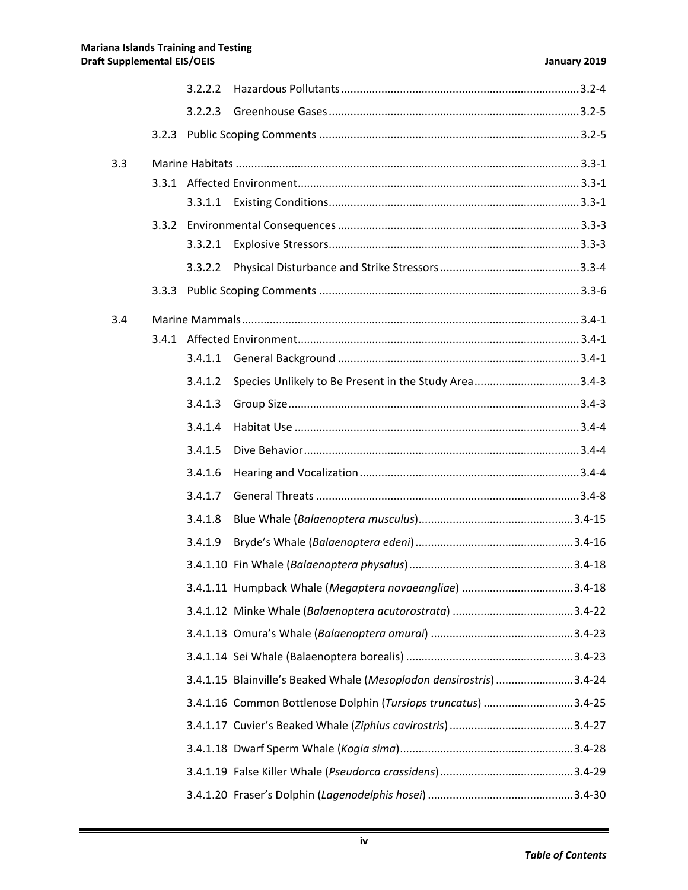|     | 3.2.2.2 |                                                                     |  |
|-----|---------|---------------------------------------------------------------------|--|
|     | 3.2.2.3 |                                                                     |  |
|     |         |                                                                     |  |
| 3.3 |         |                                                                     |  |
|     |         |                                                                     |  |
|     |         |                                                                     |  |
|     |         |                                                                     |  |
|     | 3.3.2.1 |                                                                     |  |
|     | 3.3.2.2 |                                                                     |  |
|     |         |                                                                     |  |
| 3.4 |         |                                                                     |  |
|     |         |                                                                     |  |
|     | 3.4.1.1 |                                                                     |  |
|     | 3.4.1.2 | Species Unlikely to Be Present in the Study Area3.4-3               |  |
|     | 3.4.1.3 |                                                                     |  |
|     | 3.4.1.4 |                                                                     |  |
|     | 3.4.1.5 |                                                                     |  |
|     | 3.4.1.6 |                                                                     |  |
|     | 3.4.1.7 |                                                                     |  |
|     | 3.4.1.8 |                                                                     |  |
|     | 3.4.1.9 |                                                                     |  |
|     |         |                                                                     |  |
|     |         | 3.4.1.11 Humpback Whale (Megaptera novaeangliae) 3.4-18             |  |
|     |         |                                                                     |  |
|     |         |                                                                     |  |
|     |         |                                                                     |  |
|     |         | 3.4.1.15 Blainville's Beaked Whale (Mesoplodon densirostris) 3.4-24 |  |
|     |         | 3.4.1.16 Common Bottlenose Dolphin (Tursiops truncatus) 3.4-25      |  |
|     |         |                                                                     |  |
|     |         |                                                                     |  |
|     |         |                                                                     |  |
|     |         |                                                                     |  |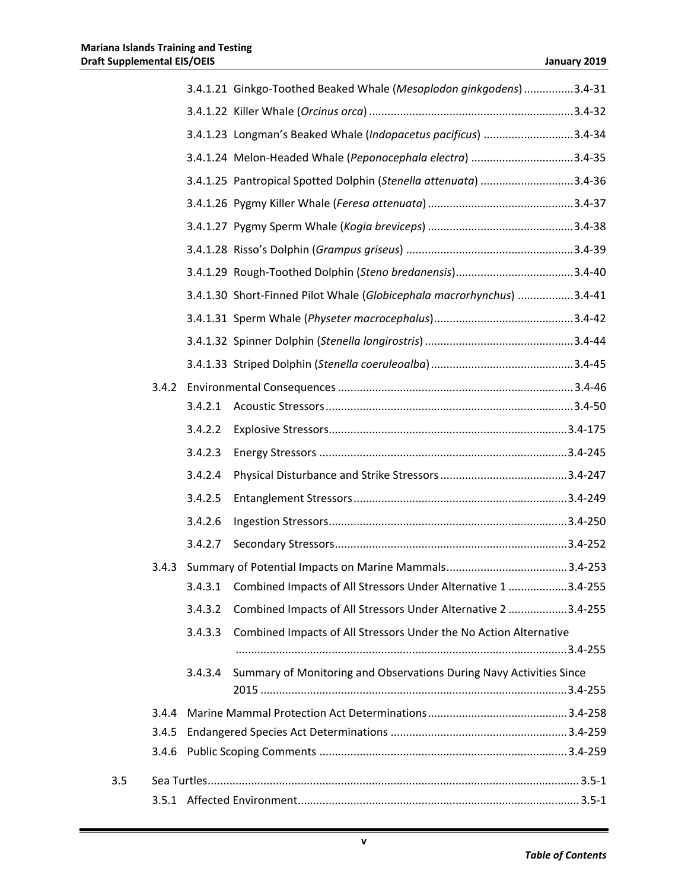|     |       |         | 3.4.1.21 Ginkgo-Toothed Beaked Whale (Mesoplodon ginkgodens) 3.4-31   |  |
|-----|-------|---------|-----------------------------------------------------------------------|--|
|     |       |         |                                                                       |  |
|     |       |         | 3.4.1.23 Longman's Beaked Whale (Indopacetus pacificus) 3.4-34        |  |
|     |       |         | 3.4.1.24 Melon-Headed Whale (Peponocephala electra) 3.4-35            |  |
|     |       |         | 3.4.1.25 Pantropical Spotted Dolphin (Stenella attenuata) 3.4-36      |  |
|     |       |         |                                                                       |  |
|     |       |         |                                                                       |  |
|     |       |         |                                                                       |  |
|     |       |         |                                                                       |  |
|     |       |         | 3.4.1.30 Short-Finned Pilot Whale (Globicephala macrorhynchus) 3.4-41 |  |
|     |       |         |                                                                       |  |
|     |       |         |                                                                       |  |
|     |       |         |                                                                       |  |
|     |       |         |                                                                       |  |
|     |       | 3.4.2.1 |                                                                       |  |
|     |       | 3.4.2.2 |                                                                       |  |
|     |       | 3.4.2.3 |                                                                       |  |
|     |       | 3.4.2.4 |                                                                       |  |
|     |       | 3.4.2.5 |                                                                       |  |
|     |       | 3.4.2.6 |                                                                       |  |
|     |       | 3.4.2.7 |                                                                       |  |
|     |       |         |                                                                       |  |
|     |       | 3.4.3.1 | Combined Impacts of All Stressors Under Alternative 1 3.4-255         |  |
|     |       | 3.4.3.2 | Combined Impacts of All Stressors Under Alternative 2 3.4-255         |  |
|     |       | 3.4.3.3 | Combined Impacts of All Stressors Under the No Action Alternative     |  |
|     |       |         |                                                                       |  |
|     |       | 3.4.3.4 | Summary of Monitoring and Observations During Navy Activities Since   |  |
|     | 3.4.4 |         |                                                                       |  |
|     | 3.4.5 |         |                                                                       |  |
|     | 3.4.6 |         |                                                                       |  |
| 3.5 |       |         |                                                                       |  |
|     |       |         |                                                                       |  |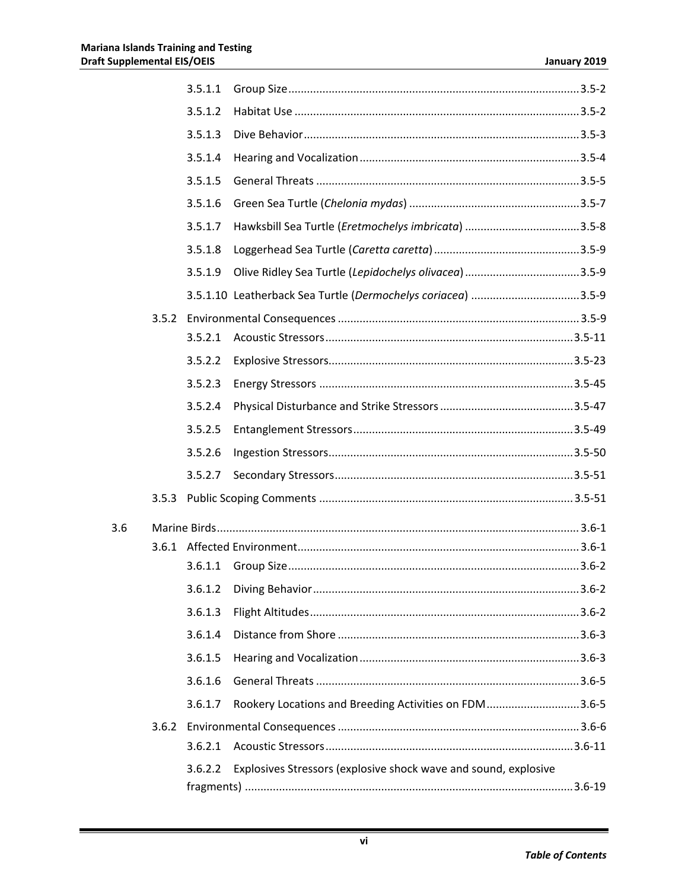|     |       | 3.5.1.1 |                                                                 |  |
|-----|-------|---------|-----------------------------------------------------------------|--|
|     |       | 3.5.1.2 |                                                                 |  |
|     |       | 3.5.1.3 |                                                                 |  |
|     |       | 3.5.1.4 |                                                                 |  |
|     |       | 3.5.1.5 |                                                                 |  |
|     |       | 3.5.1.6 |                                                                 |  |
|     |       | 3.5.1.7 |                                                                 |  |
|     |       | 3.5.1.8 |                                                                 |  |
|     |       | 3.5.1.9 |                                                                 |  |
|     |       |         | 3.5.1.10 Leatherback Sea Turtle (Dermochelys coriacea) 3.5-9    |  |
|     |       |         |                                                                 |  |
|     |       | 3.5.2.1 |                                                                 |  |
|     |       | 3.5.2.2 |                                                                 |  |
|     |       | 3.5.2.3 |                                                                 |  |
|     |       | 3.5.2.4 |                                                                 |  |
|     |       | 3.5.2.5 |                                                                 |  |
|     |       | 3.5.2.6 |                                                                 |  |
|     |       | 3.5.2.7 |                                                                 |  |
|     | 3.5.3 |         |                                                                 |  |
| 3.6 |       |         |                                                                 |  |
|     |       |         |                                                                 |  |
|     |       |         |                                                                 |  |
|     |       | 3.6.1.2 |                                                                 |  |
|     |       | 3.6.1.3 |                                                                 |  |
|     |       | 3.6.1.4 |                                                                 |  |
|     |       | 3.6.1.5 |                                                                 |  |
|     |       | 3.6.1.6 |                                                                 |  |
|     |       | 3.6.1.7 | Rookery Locations and Breeding Activities on FDM3.6-5           |  |
|     | 3.6.2 |         |                                                                 |  |
|     |       | 3.6.2.1 |                                                                 |  |
|     |       | 3.6.2.2 | Explosives Stressors (explosive shock wave and sound, explosive |  |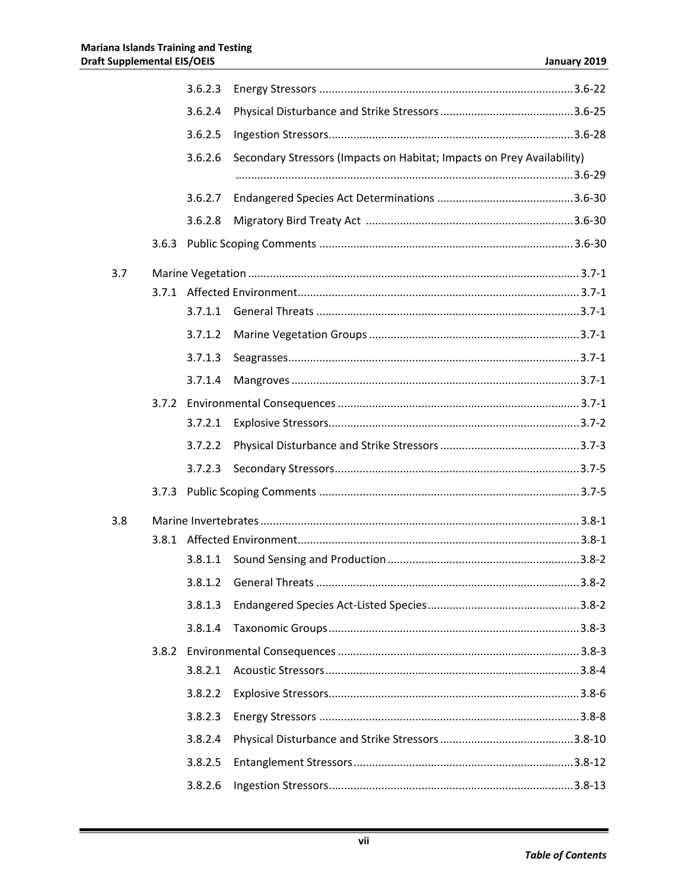|     |       | 3.6.2.3 |                                                                        |  |
|-----|-------|---------|------------------------------------------------------------------------|--|
|     |       | 3.6.2.4 |                                                                        |  |
|     |       | 3.6.2.5 |                                                                        |  |
|     |       | 3.6.2.6 | Secondary Stressors (Impacts on Habitat; Impacts on Prey Availability) |  |
|     |       |         |                                                                        |  |
|     |       | 3.6.2.7 |                                                                        |  |
|     |       | 3.6.2.8 |                                                                        |  |
|     | 3.6.3 |         |                                                                        |  |
| 3.7 |       |         |                                                                        |  |
|     |       |         |                                                                        |  |
|     |       | 3.7.1.1 |                                                                        |  |
|     |       | 3.7.1.2 |                                                                        |  |
|     |       | 3.7.1.3 |                                                                        |  |
|     |       | 3.7.1.4 |                                                                        |  |
|     |       |         |                                                                        |  |
|     |       | 3.7.2.1 |                                                                        |  |
|     |       | 3.7.2.2 |                                                                        |  |
|     |       | 3.7.2.3 |                                                                        |  |
|     | 3.7.3 |         |                                                                        |  |
| 3.8 |       |         |                                                                        |  |
|     |       |         |                                                                        |  |
|     |       | 3.8.1.1 |                                                                        |  |
|     |       | 3.8.1.2 |                                                                        |  |
|     |       | 3.8.1.3 |                                                                        |  |
|     |       | 3.8.1.4 |                                                                        |  |
|     |       |         |                                                                        |  |
|     |       | 3.8.2.1 |                                                                        |  |
|     |       | 3.8.2.2 |                                                                        |  |
|     |       | 3.8.2.3 |                                                                        |  |
|     |       | 3.8.2.4 |                                                                        |  |
|     |       | 3.8.2.5 |                                                                        |  |
|     |       | 3.8.2.6 |                                                                        |  |
|     |       |         |                                                                        |  |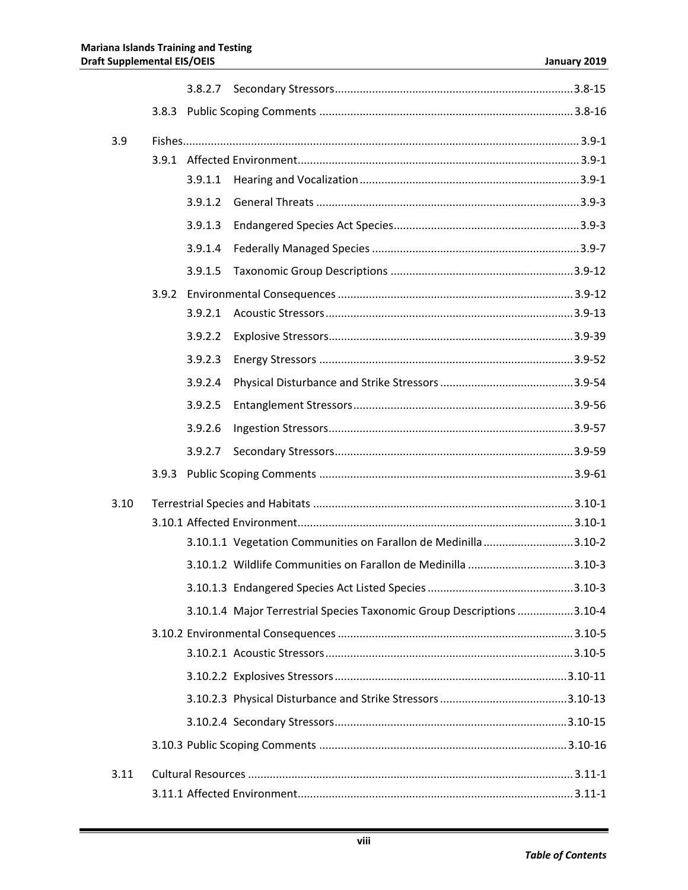| 3.9  |         |                                                                        |  |
|------|---------|------------------------------------------------------------------------|--|
|      | 3.9.1.1 |                                                                        |  |
|      | 3.9.1.2 |                                                                        |  |
|      | 3.9.1.3 |                                                                        |  |
|      | 3.9.1.4 |                                                                        |  |
|      | 3.9.1.5 |                                                                        |  |
|      |         |                                                                        |  |
|      | 3.9.2.1 |                                                                        |  |
|      | 3.9.2.2 |                                                                        |  |
|      | 3.9.2.3 |                                                                        |  |
|      | 3.9.2.4 |                                                                        |  |
|      | 3.9.2.5 |                                                                        |  |
|      | 3.9.2.6 |                                                                        |  |
|      | 3.9.2.7 |                                                                        |  |
|      |         |                                                                        |  |
|      |         |                                                                        |  |
| 3.10 |         |                                                                        |  |
|      |         | 3.10.1.1 Vegetation Communities on Farallon de Medinilla 3.10-2        |  |
|      |         | 3.10.1.2 Wildlife Communities on Farallon de Medinilla 3.10-3          |  |
|      |         |                                                                        |  |
|      |         | 3.10.1.4 Major Terrestrial Species Taxonomic Group Descriptions 3.10-4 |  |
|      |         |                                                                        |  |
|      |         |                                                                        |  |
|      |         |                                                                        |  |
|      |         |                                                                        |  |
|      |         |                                                                        |  |
|      |         |                                                                        |  |
|      |         |                                                                        |  |
| 3.11 |         |                                                                        |  |
|      |         |                                                                        |  |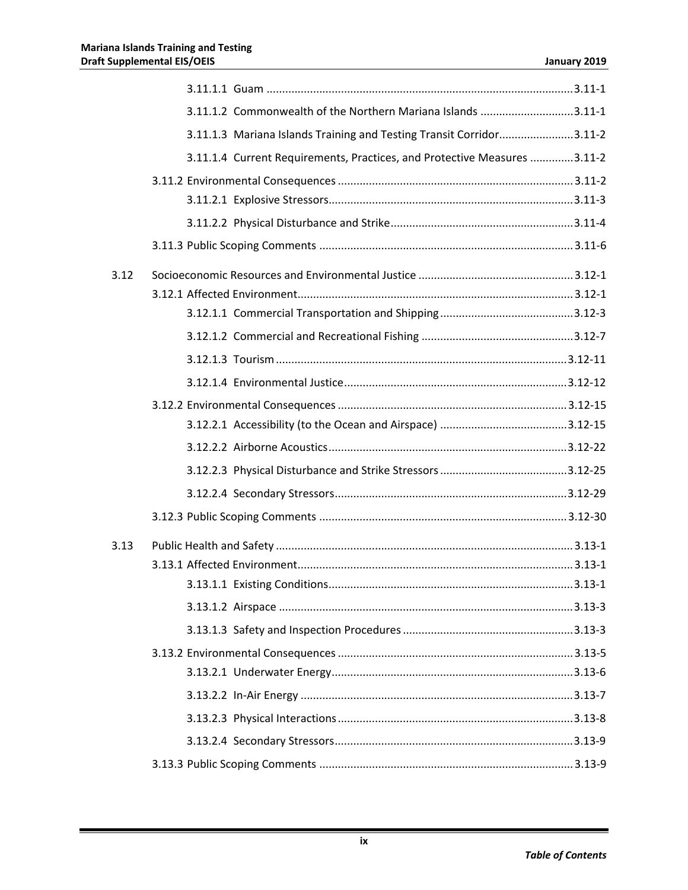|      | 3.11.1.2 Commonwealth of the Northern Mariana Islands 3.11-1             |
|------|--------------------------------------------------------------------------|
|      | 3.11.1.3 Mariana Islands Training and Testing Transit Corridor3.11-2     |
|      | 3.11.1.4 Current Requirements, Practices, and Protective Measures 3.11-2 |
|      |                                                                          |
|      |                                                                          |
|      |                                                                          |
|      |                                                                          |
| 3.12 |                                                                          |
|      |                                                                          |
|      |                                                                          |
|      |                                                                          |
|      |                                                                          |
|      |                                                                          |
|      |                                                                          |
|      |                                                                          |
|      |                                                                          |
|      |                                                                          |
|      |                                                                          |
|      |                                                                          |
| 3.13 |                                                                          |
|      |                                                                          |
|      |                                                                          |
|      |                                                                          |
|      |                                                                          |
|      |                                                                          |
|      |                                                                          |
|      |                                                                          |
|      |                                                                          |
|      |                                                                          |
|      |                                                                          |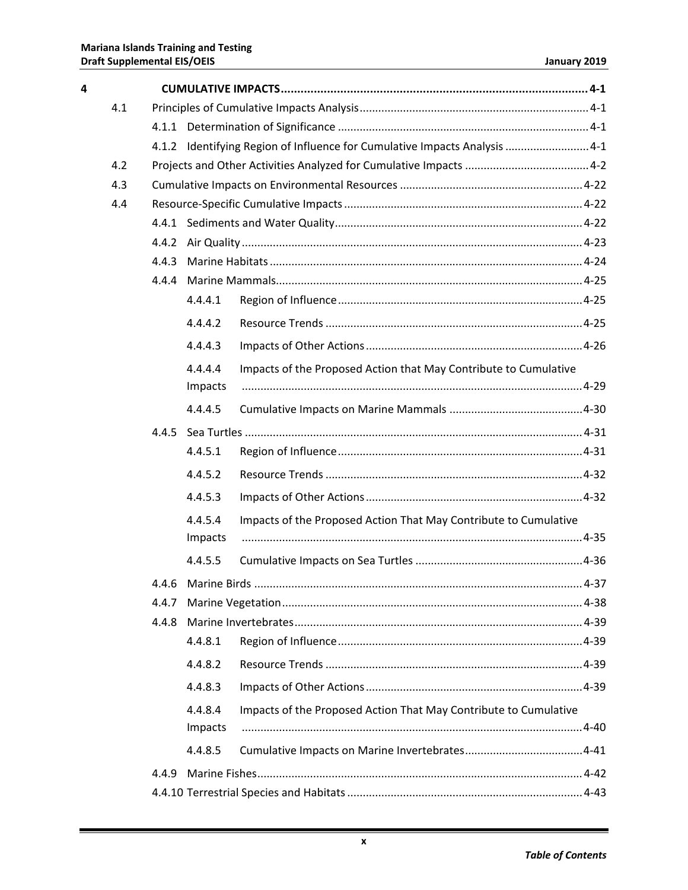| 4 |     |       |                    |                                                                            |  |  |  |
|---|-----|-------|--------------------|----------------------------------------------------------------------------|--|--|--|
|   | 4.1 |       |                    |                                                                            |  |  |  |
|   |     |       |                    |                                                                            |  |  |  |
|   |     |       |                    | 4.1.2 Identifying Region of Influence for Cumulative Impacts Analysis  4-1 |  |  |  |
|   | 4.2 |       |                    |                                                                            |  |  |  |
|   | 4.3 |       |                    |                                                                            |  |  |  |
|   | 4.4 |       |                    |                                                                            |  |  |  |
|   |     |       |                    |                                                                            |  |  |  |
|   |     | 4.4.2 |                    |                                                                            |  |  |  |
|   |     | 4.4.3 |                    |                                                                            |  |  |  |
|   |     | 4.4.4 |                    |                                                                            |  |  |  |
|   |     |       | 4.4.4.1            |                                                                            |  |  |  |
|   |     |       | 4.4.4.2            |                                                                            |  |  |  |
|   |     |       | 4.4.4.3            |                                                                            |  |  |  |
|   |     |       | 4.4.4.4<br>Impacts | Impacts of the Proposed Action that May Contribute to Cumulative           |  |  |  |
|   |     |       | 4.4.4.5            |                                                                            |  |  |  |
|   |     |       |                    |                                                                            |  |  |  |
|   |     |       | 4.4.5.1            |                                                                            |  |  |  |
|   |     |       | 4.4.5.2            |                                                                            |  |  |  |
|   |     |       | 4.4.5.3            |                                                                            |  |  |  |
|   |     |       | 4.4.5.4            | Impacts of the Proposed Action That May Contribute to Cumulative           |  |  |  |
|   |     |       | Impacts            |                                                                            |  |  |  |
|   |     |       | 4.4.5.5            |                                                                            |  |  |  |
|   |     |       |                    |                                                                            |  |  |  |
|   |     | 4.4.7 |                    |                                                                            |  |  |  |
|   |     | 4.4.8 |                    |                                                                            |  |  |  |
|   |     |       | 4.4.8.1            |                                                                            |  |  |  |
|   |     |       | 4.4.8.2            |                                                                            |  |  |  |
|   |     |       | 4.4.8.3            |                                                                            |  |  |  |
|   |     |       | 4.4.8.4<br>Impacts | Impacts of the Proposed Action That May Contribute to Cumulative           |  |  |  |
|   |     |       | 4.4.8.5            |                                                                            |  |  |  |
|   |     | 4.4.9 |                    |                                                                            |  |  |  |
|   |     |       |                    |                                                                            |  |  |  |
|   |     |       |                    |                                                                            |  |  |  |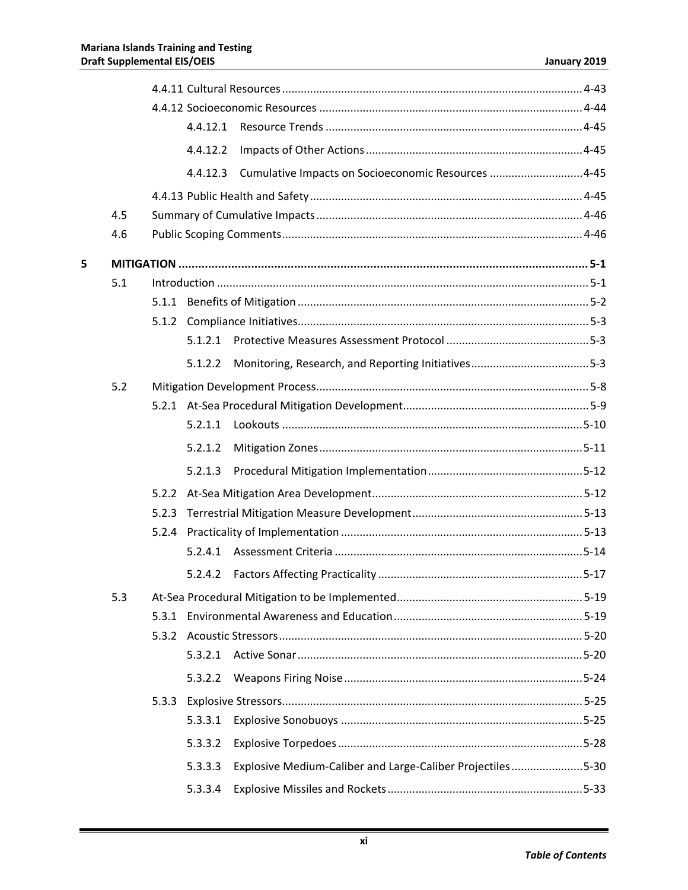|   |     |       | 4.4.12.2 |                                                            |  |  |
|---|-----|-------|----------|------------------------------------------------------------|--|--|
|   |     |       | 4.4.12.3 | Cumulative Impacts on Socioeconomic Resources 4-45         |  |  |
|   |     |       |          |                                                            |  |  |
|   | 4.5 |       |          |                                                            |  |  |
|   | 4.6 |       |          |                                                            |  |  |
| 5 |     |       |          |                                                            |  |  |
|   | 5.1 |       |          |                                                            |  |  |
|   |     |       |          |                                                            |  |  |
|   |     |       |          |                                                            |  |  |
|   |     |       | 5.1.2.1  |                                                            |  |  |
|   |     |       | 5.1.2.2  |                                                            |  |  |
|   | 5.2 |       |          |                                                            |  |  |
|   |     |       |          |                                                            |  |  |
|   |     |       | 5.2.1.1  |                                                            |  |  |
|   |     |       | 5.2.1.2  |                                                            |  |  |
|   |     |       | 5.2.1.3  |                                                            |  |  |
|   |     |       |          |                                                            |  |  |
|   |     | 5.2.3 |          |                                                            |  |  |
|   |     |       |          |                                                            |  |  |
|   |     |       | 5.2.4.1  |                                                            |  |  |
|   |     |       | 5.2.4.2  |                                                            |  |  |
|   | 5.3 |       |          |                                                            |  |  |
|   |     | 5.3.1 |          |                                                            |  |  |
|   |     | 5.3.2 |          |                                                            |  |  |
|   |     |       | 5.3.2.1  |                                                            |  |  |
|   |     |       | 5.3.2.2  |                                                            |  |  |
|   |     |       |          |                                                            |  |  |
|   |     |       | 5.3.3.1  |                                                            |  |  |
|   |     |       | 5.3.3.2  |                                                            |  |  |
|   |     |       | 5.3.3.3  | Explosive Medium-Caliber and Large-Caliber Projectiles5-30 |  |  |
|   |     |       | 5.3.3.4  |                                                            |  |  |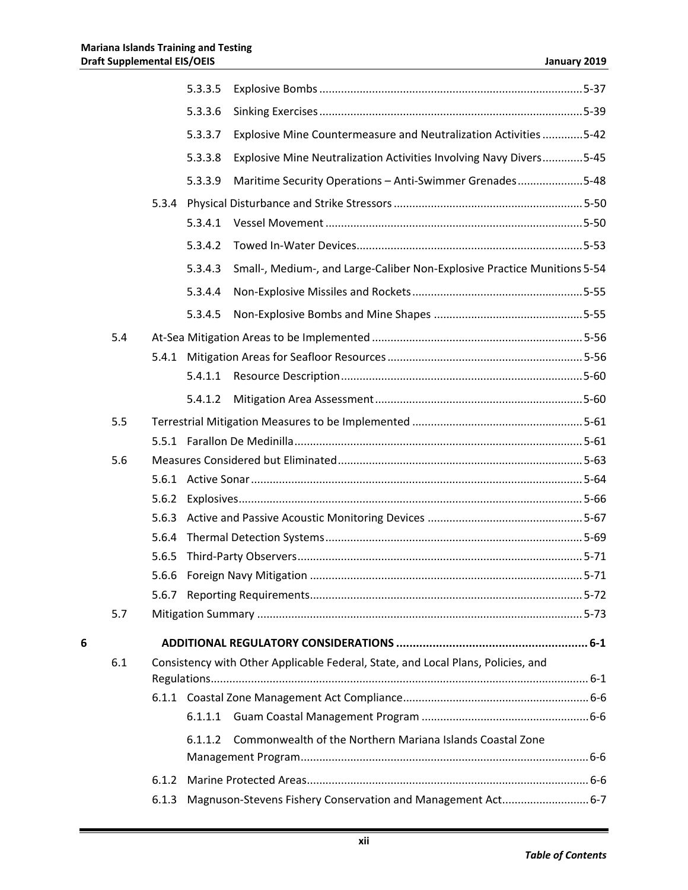|   |     |       | 5.3.3.5 |                                                                                  |  |
|---|-----|-------|---------|----------------------------------------------------------------------------------|--|
|   |     |       | 5.3.3.6 |                                                                                  |  |
|   |     |       | 5.3.3.7 | Explosive Mine Countermeasure and Neutralization Activities 5-42                 |  |
|   |     |       | 5.3.3.8 | Explosive Mine Neutralization Activities Involving Navy Divers5-45               |  |
|   |     |       | 5.3.3.9 | Maritime Security Operations - Anti-Swimmer Grenades5-48                         |  |
|   |     | 5.3.4 |         |                                                                                  |  |
|   |     |       | 5.3.4.1 |                                                                                  |  |
|   |     |       | 5.3.4.2 |                                                                                  |  |
|   |     |       | 5.3.4.3 | Small-, Medium-, and Large-Caliber Non-Explosive Practice Munitions 5-54         |  |
|   |     |       | 5.3.4.4 |                                                                                  |  |
|   |     |       | 5.3.4.5 |                                                                                  |  |
|   | 5.4 |       |         |                                                                                  |  |
|   |     | 5.4.1 |         |                                                                                  |  |
|   |     |       | 5.4.1.1 |                                                                                  |  |
|   |     |       | 5.4.1.2 |                                                                                  |  |
|   | 5.5 |       |         |                                                                                  |  |
|   |     |       |         |                                                                                  |  |
|   | 5.6 |       |         |                                                                                  |  |
|   |     |       |         |                                                                                  |  |
|   |     | 5.6.2 |         |                                                                                  |  |
|   |     | 5.6.3 |         |                                                                                  |  |
|   |     | 5.6.4 |         |                                                                                  |  |
|   |     | 5.6.5 |         |                                                                                  |  |
|   |     | 5.6.6 |         |                                                                                  |  |
|   |     |       |         |                                                                                  |  |
|   | 5.7 |       |         |                                                                                  |  |
| 6 |     |       |         |                                                                                  |  |
|   | 6.1 |       |         | Consistency with Other Applicable Federal, State, and Local Plans, Policies, and |  |
|   |     |       |         |                                                                                  |  |
|   |     |       | 6.1.1.1 |                                                                                  |  |
|   |     |       | 6.1.1.2 | Commonwealth of the Northern Mariana Islands Coastal Zone                        |  |
|   |     |       |         |                                                                                  |  |
|   |     | 6.1.2 |         |                                                                                  |  |
|   |     | 6.1.3 |         | Magnuson-Stevens Fishery Conservation and Management Act 6-7                     |  |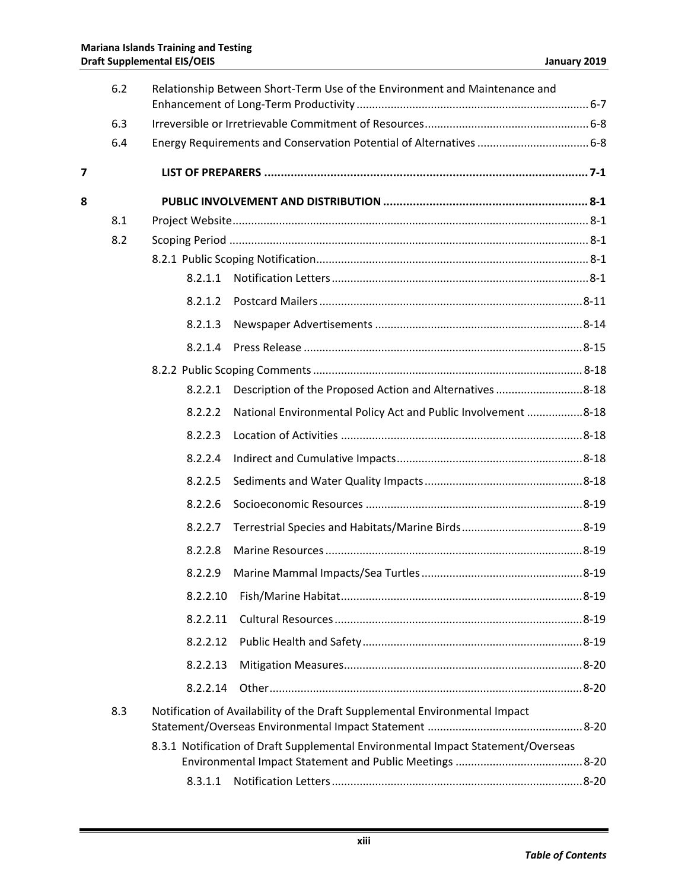|   | 6.2 | Relationship Between Short-Term Use of the Environment and Maintenance and       |
|---|-----|----------------------------------------------------------------------------------|
|   | 6.3 |                                                                                  |
|   | 6.4 |                                                                                  |
| 7 |     |                                                                                  |
| 8 |     |                                                                                  |
|   | 8.1 |                                                                                  |
|   | 8.2 |                                                                                  |
|   |     |                                                                                  |
|   |     | 8.2.1.1                                                                          |
|   |     | 8.2.1.2                                                                          |
|   |     | 8.2.1.3                                                                          |
|   |     | 8.2.1.4                                                                          |
|   |     |                                                                                  |
|   |     | Description of the Proposed Action and Alternatives 8-18<br>8.2.2.1              |
|   |     | National Environmental Policy Act and Public Involvement 8-18<br>8.2.2.2         |
|   |     | 8.2.2.3                                                                          |
|   |     | 8.2.2.4                                                                          |
|   |     | 8.2.2.5                                                                          |
|   |     | 8.2.2.6                                                                          |
|   |     | 8.2.2.7                                                                          |
|   |     | 8.2.2.8                                                                          |
|   |     | 8.2.2.9                                                                          |
|   |     | 8.2.2.10                                                                         |
|   |     | 8.2.2.11                                                                         |
|   |     | 8.2.2.12                                                                         |
|   |     | 8.2.2.13                                                                         |
|   |     | 8.2.2.14                                                                         |
|   | 8.3 | Notification of Availability of the Draft Supplemental Environmental Impact      |
|   |     | 8.3.1 Notification of Draft Supplemental Environmental Impact Statement/Overseas |
|   |     | 8.3.1.1                                                                          |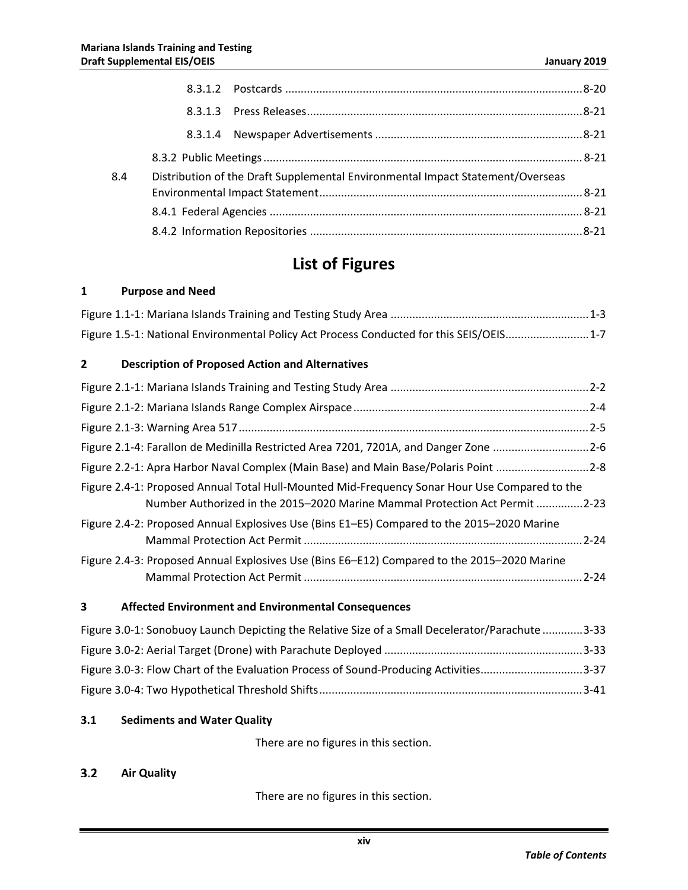| 8.4 | Distribution of the Draft Supplemental Environmental Impact Statement/Overseas |  |
|-----|--------------------------------------------------------------------------------|--|
|     |                                                                                |  |
|     |                                                                                |  |
|     |                                                                                |  |

## **List of Figures**

### **1 Purpose and Need**

| Figure 1.5-1: National Environmental Policy Act Process Conducted for this SEIS/OEIS1-7 |  |
|-----------------------------------------------------------------------------------------|--|

### **2 Description of Proposed Action and Alternatives**

| Figure 2.1-4: Farallon de Medinilla Restricted Area 7201, 7201A, and Danger Zone 2-6                                                                                         |  |
|------------------------------------------------------------------------------------------------------------------------------------------------------------------------------|--|
| Figure 2.2-1: Apra Harbor Naval Complex (Main Base) and Main Base/Polaris Point 2-8                                                                                          |  |
| Figure 2.4-1: Proposed Annual Total Hull-Mounted Mid-Frequency Sonar Hour Use Compared to the<br>Number Authorized in the 2015–2020 Marine Mammal Protection Act Permit 2-23 |  |
| Figure 2.4-2: Proposed Annual Explosives Use (Bins E1–E5) Compared to the 2015–2020 Marine                                                                                   |  |
| Figure 2.4-3: Proposed Annual Explosives Use (Bins E6–E12) Compared to the 2015–2020 Marine                                                                                  |  |

### **3 Affected Environment and Environmental Consequences**

| Figure 3.0-1: Sonobuoy Launch Depicting the Relative Size of a Small Decelerator/Parachute 3-33 |  |
|-------------------------------------------------------------------------------------------------|--|
|                                                                                                 |  |
| Figure 3.0-3: Flow Chart of the Evaluation Process of Sound-Producing Activities3-37            |  |
|                                                                                                 |  |

### **3.1 Sediments and Water Quality**

There are no figures in this section.

#### $3.2$ **Air Quality**

There are no figures in this section.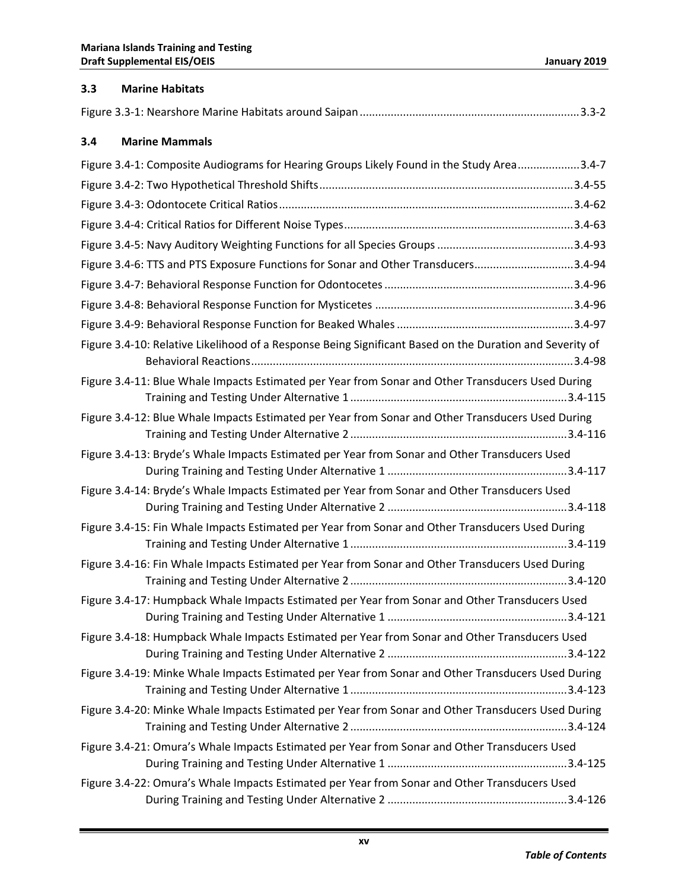| 3.3 | <b>Marine Habitats</b>                                                                                   |
|-----|----------------------------------------------------------------------------------------------------------|
|     |                                                                                                          |
| 3.4 | <b>Marine Mammals</b>                                                                                    |
|     | Figure 3.4-1: Composite Audiograms for Hearing Groups Likely Found in the Study Area3.4-7                |
|     |                                                                                                          |
|     |                                                                                                          |
|     |                                                                                                          |
|     |                                                                                                          |
|     | Figure 3.4-6: TTS and PTS Exposure Functions for Sonar and Other Transducers3.4-94                       |
|     |                                                                                                          |
|     |                                                                                                          |
|     |                                                                                                          |
|     | Figure 3.4-10: Relative Likelihood of a Response Being Significant Based on the Duration and Severity of |
|     | Figure 3.4-11: Blue Whale Impacts Estimated per Year from Sonar and Other Transducers Used During        |
|     | Figure 3.4-12: Blue Whale Impacts Estimated per Year from Sonar and Other Transducers Used During        |
|     | Figure 3.4-13: Bryde's Whale Impacts Estimated per Year from Sonar and Other Transducers Used            |
|     | Figure 3.4-14: Bryde's Whale Impacts Estimated per Year from Sonar and Other Transducers Used            |
|     | Figure 3.4-15: Fin Whale Impacts Estimated per Year from Sonar and Other Transducers Used During         |
|     | Figure 3.4-16: Fin Whale Impacts Estimated per Year from Sonar and Other Transducers Used During         |
|     | Figure 3.4-17: Humpback Whale Impacts Estimated per Year from Sonar and Other Transducers Used           |
|     | Figure 3.4-18: Humpback Whale Impacts Estimated per Year from Sonar and Other Transducers Used           |
|     | Figure 3.4-19: Minke Whale Impacts Estimated per Year from Sonar and Other Transducers Used During       |
|     | Figure 3.4-20: Minke Whale Impacts Estimated per Year from Sonar and Other Transducers Used During       |
|     | Figure 3.4-21: Omura's Whale Impacts Estimated per Year from Sonar and Other Transducers Used            |
|     | Figure 3.4-22: Omura's Whale Impacts Estimated per Year from Sonar and Other Transducers Used            |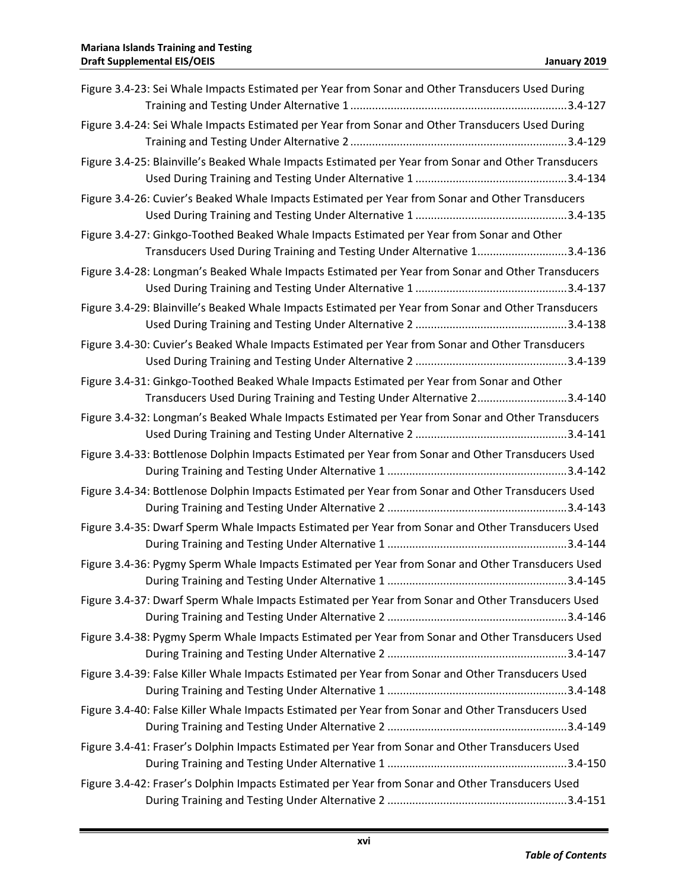| Figure 3.4-23: Sei Whale Impacts Estimated per Year from Sonar and Other Transducers Used During                                                                      |
|-----------------------------------------------------------------------------------------------------------------------------------------------------------------------|
|                                                                                                                                                                       |
| Figure 3.4-24: Sei Whale Impacts Estimated per Year from Sonar and Other Transducers Used During                                                                      |
| Figure 3.4-25: Blainville's Beaked Whale Impacts Estimated per Year from Sonar and Other Transducers                                                                  |
| Figure 3.4-26: Cuvier's Beaked Whale Impacts Estimated per Year from Sonar and Other Transducers                                                                      |
| Figure 3.4-27: Ginkgo-Toothed Beaked Whale Impacts Estimated per Year from Sonar and Other<br>Transducers Used During Training and Testing Under Alternative 13.4-136 |
| Figure 3.4-28: Longman's Beaked Whale Impacts Estimated per Year from Sonar and Other Transducers                                                                     |
| Figure 3.4-29: Blainville's Beaked Whale Impacts Estimated per Year from Sonar and Other Transducers                                                                  |
| Figure 3.4-30: Cuvier's Beaked Whale Impacts Estimated per Year from Sonar and Other Transducers                                                                      |
| Figure 3.4-31: Ginkgo-Toothed Beaked Whale Impacts Estimated per Year from Sonar and Other<br>Transducers Used During Training and Testing Under Alternative 23.4-140 |
| Figure 3.4-32: Longman's Beaked Whale Impacts Estimated per Year from Sonar and Other Transducers                                                                     |
| Figure 3.4-33: Bottlenose Dolphin Impacts Estimated per Year from Sonar and Other Transducers Used                                                                    |
| Figure 3.4-34: Bottlenose Dolphin Impacts Estimated per Year from Sonar and Other Transducers Used                                                                    |
| Figure 3.4-35: Dwarf Sperm Whale Impacts Estimated per Year from Sonar and Other Transducers Used                                                                     |
| Figure 3.4-36: Pygmy Sperm Whale Impacts Estimated per Year from Sonar and Other Transducers Used                                                                     |
| Figure 3.4-37: Dwarf Sperm Whale Impacts Estimated per Year from Sonar and Other Transducers Used                                                                     |
| Figure 3.4-38: Pygmy Sperm Whale Impacts Estimated per Year from Sonar and Other Transducers Used                                                                     |
| Figure 3.4-39: False Killer Whale Impacts Estimated per Year from Sonar and Other Transducers Used                                                                    |
| Figure 3.4-40: False Killer Whale Impacts Estimated per Year from Sonar and Other Transducers Used                                                                    |
| Figure 3.4-41: Fraser's Dolphin Impacts Estimated per Year from Sonar and Other Transducers Used                                                                      |
| Figure 3.4-42: Fraser's Dolphin Impacts Estimated per Year from Sonar and Other Transducers Used                                                                      |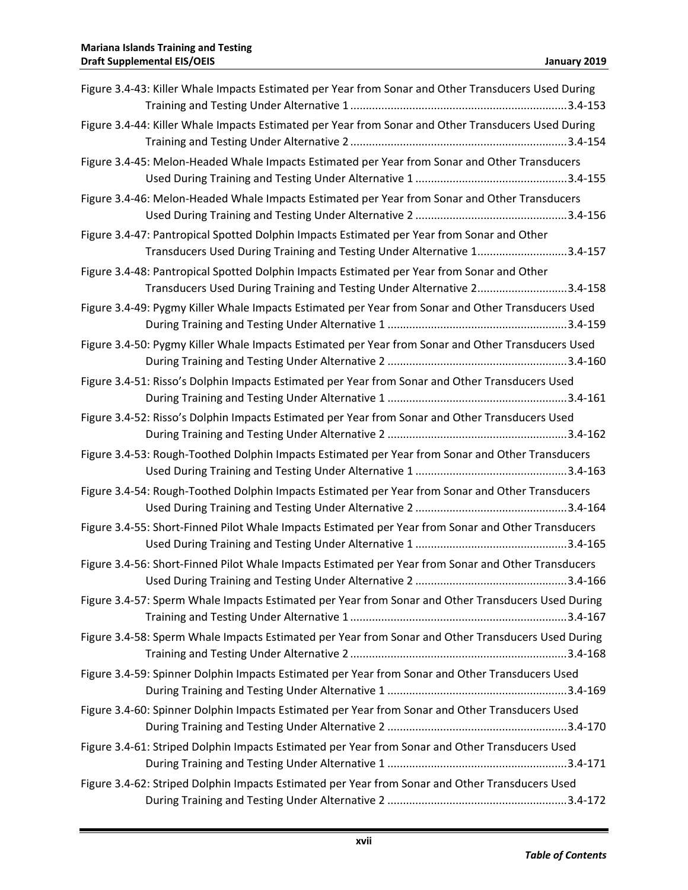| Figure 3.4-43: Killer Whale Impacts Estimated per Year from Sonar and Other Transducers Used During                                                                   |
|-----------------------------------------------------------------------------------------------------------------------------------------------------------------------|
| Figure 3.4-44: Killer Whale Impacts Estimated per Year from Sonar and Other Transducers Used During                                                                   |
| Figure 3.4-45: Melon-Headed Whale Impacts Estimated per Year from Sonar and Other Transducers                                                                         |
| Figure 3.4-46: Melon-Headed Whale Impacts Estimated per Year from Sonar and Other Transducers                                                                         |
| Figure 3.4-47: Pantropical Spotted Dolphin Impacts Estimated per Year from Sonar and Other<br>Transducers Used During Training and Testing Under Alternative 13.4-157 |
| Figure 3.4-48: Pantropical Spotted Dolphin Impacts Estimated per Year from Sonar and Other<br>Transducers Used During Training and Testing Under Alternative 23.4-158 |
| Figure 3.4-49: Pygmy Killer Whale Impacts Estimated per Year from Sonar and Other Transducers Used                                                                    |
| Figure 3.4-50: Pygmy Killer Whale Impacts Estimated per Year from Sonar and Other Transducers Used                                                                    |
| Figure 3.4-51: Risso's Dolphin Impacts Estimated per Year from Sonar and Other Transducers Used                                                                       |
| Figure 3.4-52: Risso's Dolphin Impacts Estimated per Year from Sonar and Other Transducers Used                                                                       |
| Figure 3.4-53: Rough-Toothed Dolphin Impacts Estimated per Year from Sonar and Other Transducers                                                                      |
| Figure 3.4-54: Rough-Toothed Dolphin Impacts Estimated per Year from Sonar and Other Transducers                                                                      |
| Figure 3.4-55: Short-Finned Pilot Whale Impacts Estimated per Year from Sonar and Other Transducers                                                                   |
| Figure 3.4-56: Short-Finned Pilot Whale Impacts Estimated per Year from Sonar and Other Transducers                                                                   |
| Figure 3.4-57: Sperm Whale Impacts Estimated per Year from Sonar and Other Transducers Used During                                                                    |
| Figure 3.4-58: Sperm Whale Impacts Estimated per Year from Sonar and Other Transducers Used During                                                                    |
| Figure 3.4-59: Spinner Dolphin Impacts Estimated per Year from Sonar and Other Transducers Used                                                                       |
| Figure 3.4-60: Spinner Dolphin Impacts Estimated per Year from Sonar and Other Transducers Used                                                                       |
| Figure 3.4-61: Striped Dolphin Impacts Estimated per Year from Sonar and Other Transducers Used                                                                       |
| Figure 3.4-62: Striped Dolphin Impacts Estimated per Year from Sonar and Other Transducers Used                                                                       |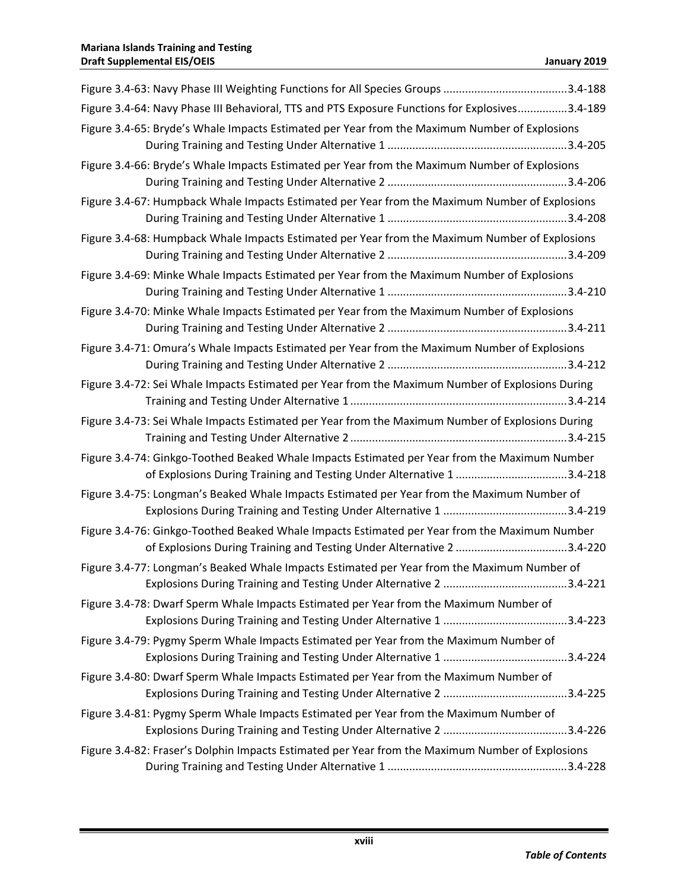| Figure 3.4-64: Navy Phase III Behavioral, TTS and PTS Exposure Functions for Explosives3.4-189                                                                         |
|------------------------------------------------------------------------------------------------------------------------------------------------------------------------|
| Figure 3.4-65: Bryde's Whale Impacts Estimated per Year from the Maximum Number of Explosions                                                                          |
| Figure 3.4-66: Bryde's Whale Impacts Estimated per Year from the Maximum Number of Explosions                                                                          |
| Figure 3.4-67: Humpback Whale Impacts Estimated per Year from the Maximum Number of Explosions                                                                         |
| Figure 3.4-68: Humpback Whale Impacts Estimated per Year from the Maximum Number of Explosions                                                                         |
| Figure 3.4-69: Minke Whale Impacts Estimated per Year from the Maximum Number of Explosions                                                                            |
| Figure 3.4-70: Minke Whale Impacts Estimated per Year from the Maximum Number of Explosions                                                                            |
| Figure 3.4-71: Omura's Whale Impacts Estimated per Year from the Maximum Number of Explosions                                                                          |
| Figure 3.4-72: Sei Whale Impacts Estimated per Year from the Maximum Number of Explosions During                                                                       |
| Figure 3.4-73: Sei Whale Impacts Estimated per Year from the Maximum Number of Explosions During                                                                       |
| Figure 3.4-74: Ginkgo-Toothed Beaked Whale Impacts Estimated per Year from the Maximum Number<br>of Explosions During Training and Testing Under Alternative 1 3.4-218 |
| Figure 3.4-75: Longman's Beaked Whale Impacts Estimated per Year from the Maximum Number of                                                                            |
| Figure 3.4-76: Ginkgo-Toothed Beaked Whale Impacts Estimated per Year from the Maximum Number                                                                          |
| Figure 3.4-77: Longman's Beaked Whale Impacts Estimated per Year from the Maximum Number of                                                                            |
| Figure 3.4-78: Dwarf Sperm Whale Impacts Estimated per Year from the Maximum Number of                                                                                 |
| Figure 3.4-79: Pygmy Sperm Whale Impacts Estimated per Year from the Maximum Number of                                                                                 |
| Figure 3.4-80: Dwarf Sperm Whale Impacts Estimated per Year from the Maximum Number of                                                                                 |
| Figure 3.4-81: Pygmy Sperm Whale Impacts Estimated per Year from the Maximum Number of                                                                                 |
| Figure 3.4-82: Fraser's Dolphin Impacts Estimated per Year from the Maximum Number of Explosions                                                                       |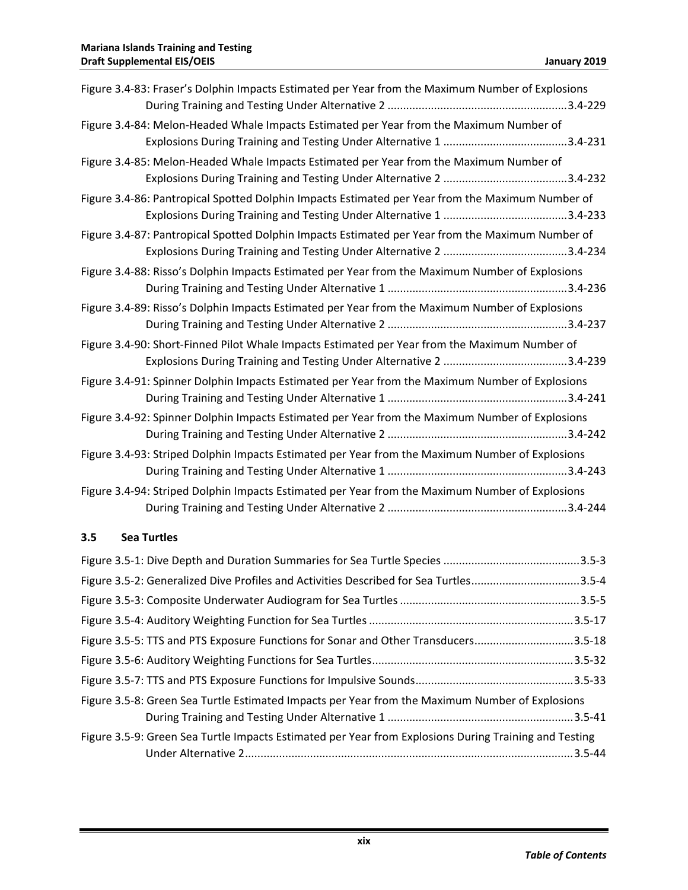| Figure 3.4-83: Fraser's Dolphin Impacts Estimated per Year from the Maximum Number of Explosions |  |
|--------------------------------------------------------------------------------------------------|--|
|                                                                                                  |  |
| Figure 3.4-84: Melon-Headed Whale Impacts Estimated per Year from the Maximum Number of          |  |
|                                                                                                  |  |
| Figure 3.4-85: Melon-Headed Whale Impacts Estimated per Year from the Maximum Number of          |  |
|                                                                                                  |  |
| Figure 3.4-86: Pantropical Spotted Dolphin Impacts Estimated per Year from the Maximum Number of |  |
|                                                                                                  |  |
| Figure 3.4-87: Pantropical Spotted Dolphin Impacts Estimated per Year from the Maximum Number of |  |
|                                                                                                  |  |
| Figure 3.4-88: Risso's Dolphin Impacts Estimated per Year from the Maximum Number of Explosions  |  |
|                                                                                                  |  |
| Figure 3.4-89: Risso's Dolphin Impacts Estimated per Year from the Maximum Number of Explosions  |  |
|                                                                                                  |  |
| Figure 3.4-90: Short-Finned Pilot Whale Impacts Estimated per Year from the Maximum Number of    |  |
|                                                                                                  |  |
| Figure 3.4-91: Spinner Dolphin Impacts Estimated per Year from the Maximum Number of Explosions  |  |
|                                                                                                  |  |
| Figure 3.4-92: Spinner Dolphin Impacts Estimated per Year from the Maximum Number of Explosions  |  |
|                                                                                                  |  |
| Figure 3.4-93: Striped Dolphin Impacts Estimated per Year from the Maximum Number of Explosions  |  |
|                                                                                                  |  |
| Figure 3.4-94: Striped Dolphin Impacts Estimated per Year from the Maximum Number of Explosions  |  |
|                                                                                                  |  |

### **3.5 Sea Turtles**

| Figure 3.5-2: Generalized Dive Profiles and Activities Described for Sea Turtles3.5-4                 |  |
|-------------------------------------------------------------------------------------------------------|--|
|                                                                                                       |  |
|                                                                                                       |  |
| Figure 3.5-5: TTS and PTS Exposure Functions for Sonar and Other Transducers3.5-18                    |  |
|                                                                                                       |  |
|                                                                                                       |  |
| Figure 3.5-8: Green Sea Turtle Estimated Impacts per Year from the Maximum Number of Explosions       |  |
|                                                                                                       |  |
| Figure 3.5-9: Green Sea Turtle Impacts Estimated per Year from Explosions During Training and Testing |  |
|                                                                                                       |  |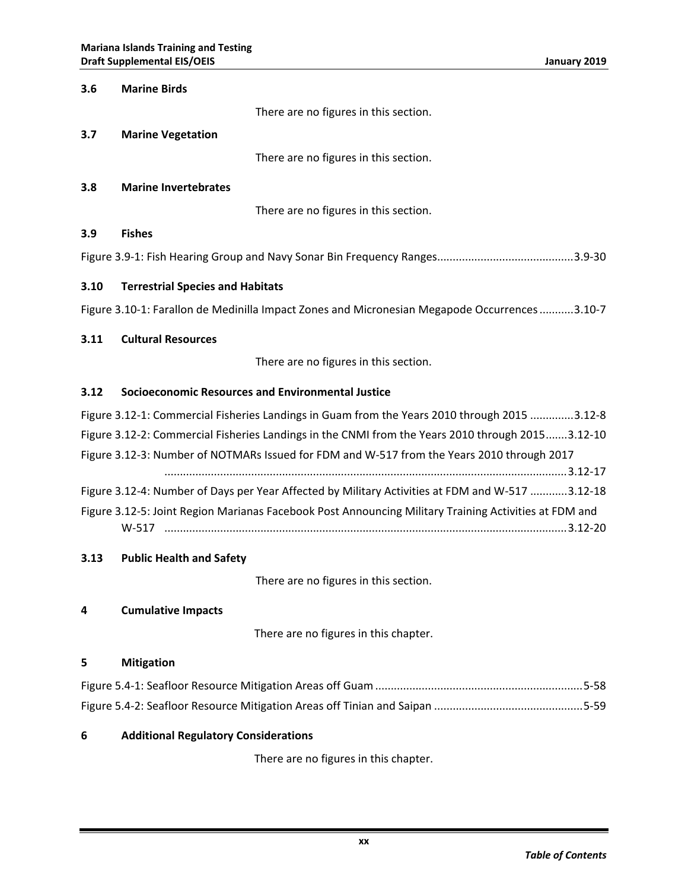| 3.6                                                                                          | <b>Marine Birds</b>                                                                                   |  |
|----------------------------------------------------------------------------------------------|-------------------------------------------------------------------------------------------------------|--|
|                                                                                              | There are no figures in this section.                                                                 |  |
| 3.7                                                                                          | <b>Marine Vegetation</b>                                                                              |  |
|                                                                                              | There are no figures in this section.                                                                 |  |
| 3.8                                                                                          | <b>Marine Invertebrates</b>                                                                           |  |
|                                                                                              | There are no figures in this section.                                                                 |  |
| 3.9                                                                                          | <b>Fishes</b>                                                                                         |  |
|                                                                                              |                                                                                                       |  |
| 3.10                                                                                         | <b>Terrestrial Species and Habitats</b>                                                               |  |
|                                                                                              | Figure 3.10-1: Farallon de Medinilla Impact Zones and Micronesian Megapode Occurrences 3.10-7         |  |
| 3.11                                                                                         | <b>Cultural Resources</b>                                                                             |  |
|                                                                                              | There are no figures in this section.                                                                 |  |
| 3.12                                                                                         | Socioeconomic Resources and Environmental Justice                                                     |  |
| Figure 3.12-1: Commercial Fisheries Landings in Guam from the Years 2010 through 2015 3.12-8 |                                                                                                       |  |
|                                                                                              | Figure 3.12-2: Commercial Fisheries Landings in the CNMI from the Years 2010 through 20153.12-10      |  |
|                                                                                              | Figure 3.12-3: Number of NOTMARs Issued for FDM and W-517 from the Years 2010 through 2017            |  |
|                                                                                              |                                                                                                       |  |
|                                                                                              | Figure 3.12-4: Number of Days per Year Affected by Military Activities at FDM and W-517 3.12-18       |  |
|                                                                                              | Figure 3.12-5: Joint Region Marianas Facebook Post Announcing Military Training Activities at FDM and |  |
| 3.13                                                                                         | <b>Public Health and Safety</b>                                                                       |  |
|                                                                                              | There are no figures in this section.                                                                 |  |
| 4                                                                                            | <b>Cumulative Impacts</b>                                                                             |  |

There are no figures in this chapter.

### **5 Mitigation**

## **6 Additional Regulatory Considerations**

There are no figures in this chapter.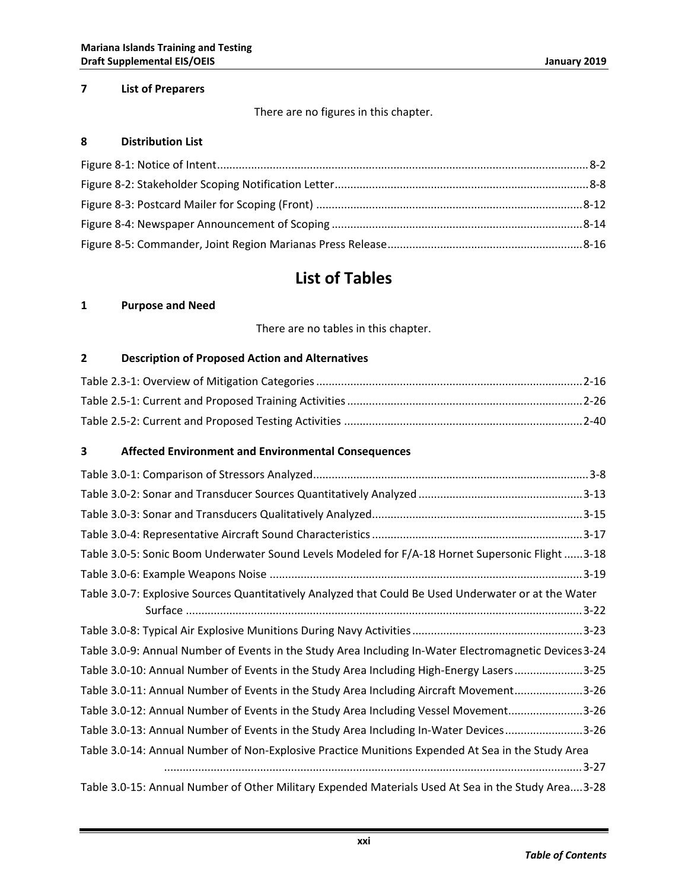### **7 List of Preparers**

There are no figures in this chapter.

### **8 Distribution List**

## **List of Tables**

### **1 Purpose and Need**

There are no tables in this chapter.

### **2 Description of Proposed Action and Alternatives**

### **3 Affected Environment and Environmental Consequences**

| Table 3.0-5: Sonic Boom Underwater Sound Levels Modeled for F/A-18 Hornet Supersonic Flight 3-18       |
|--------------------------------------------------------------------------------------------------------|
|                                                                                                        |
| Table 3.0-7: Explosive Sources Quantitatively Analyzed that Could Be Used Underwater or at the Water   |
|                                                                                                        |
|                                                                                                        |
| Table 3.0-9: Annual Number of Events in the Study Area Including In-Water Electromagnetic Devices 3-24 |
| Table 3.0-10: Annual Number of Events in the Study Area Including High-Energy Lasers3-25               |
| Table 3.0-11: Annual Number of Events in the Study Area Including Aircraft Movement3-26                |
| Table 3.0-12: Annual Number of Events in the Study Area Including Vessel Movement3-26                  |
| Table 3.0-13: Annual Number of Events in the Study Area Including In-Water Devices3-26                 |
| Table 3.0-14: Annual Number of Non-Explosive Practice Munitions Expended At Sea in the Study Area      |
|                                                                                                        |
| Table 3.0-15: Annual Number of Other Military Expended Materials Used At Sea in the Study Area3-28     |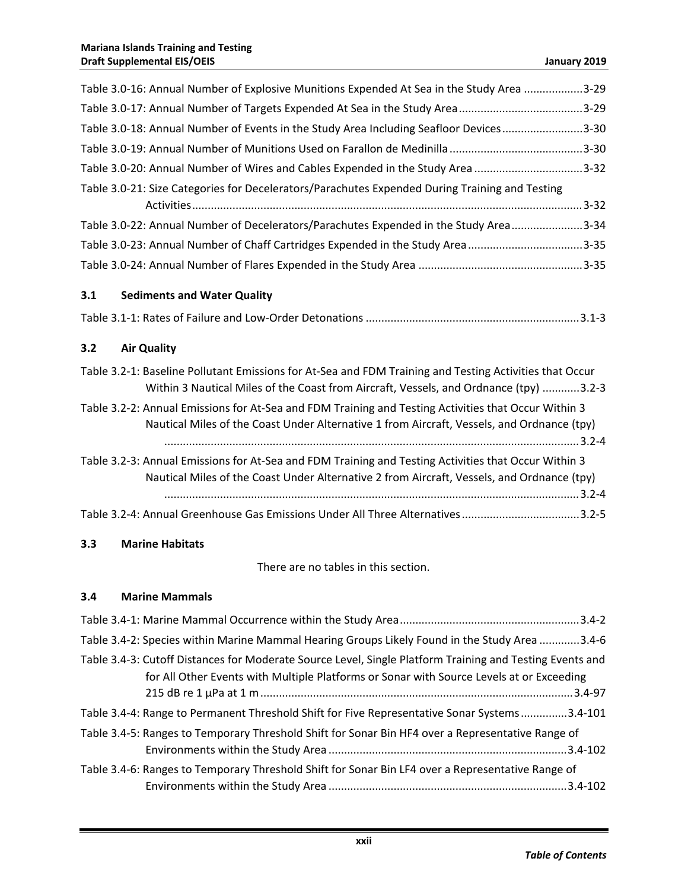| Table 3.0-16: Annual Number of Explosive Munitions Expended At Sea in the Study Area 3-29                                                                                                          |
|----------------------------------------------------------------------------------------------------------------------------------------------------------------------------------------------------|
| Table 3.0-17: Annual Number of Targets Expended At Sea in the Study Area3-29                                                                                                                       |
| Table 3.0-18: Annual Number of Events in the Study Area Including Seafloor Devices3-30                                                                                                             |
|                                                                                                                                                                                                    |
| Table 3.0-20: Annual Number of Wires and Cables Expended in the Study Area 3-32                                                                                                                    |
| Table 3.0-21: Size Categories for Decelerators/Parachutes Expended During Training and Testing                                                                                                     |
| Table 3.0-22: Annual Number of Decelerators/Parachutes Expended in the Study Area3-34                                                                                                              |
| Table 3.0-23: Annual Number of Chaff Cartridges Expended in the Study Area3-35                                                                                                                     |
|                                                                                                                                                                                                    |
| 3.1<br><b>Sediments and Water Quality</b>                                                                                                                                                          |
|                                                                                                                                                                                                    |
| <b>Air Quality</b><br>3.2                                                                                                                                                                          |
| Table 3.2-1: Baseline Pollutant Emissions for At-Sea and FDM Training and Testing Activities that Occur<br>Within 3 Nautical Miles of the Coast from Aircraft, Vessels, and Ordnance (tpy) 3.2-3   |
| Table 3.2-2: Annual Emissions for At-Sea and FDM Training and Testing Activities that Occur Within 3<br>Nautical Miles of the Coast Under Alternative 1 from Aircraft, Vessels, and Ordnance (tpy) |
| Table 3.2-3: Annual Emissions for At-Sea and FDM Training and Testing Activities that Occur Within 3<br>Nautical Miles of the Coast Under Alternative 2 from Aircraft, Vessels, and Ordnance (tpy) |
| Table 3.2-4: Annual Greenhouse Gas Emissions Under All Three Alternatives 3.2-5                                                                                                                    |
| 3.3<br><b>Marine Habitats</b>                                                                                                                                                                      |

There are no tables in this section.

### **3.4 Marine Mammals**

| Table 3.4-2: Species within Marine Mammal Hearing Groups Likely Found in the Study Area 3.4-6                                                                                                        |  |
|------------------------------------------------------------------------------------------------------------------------------------------------------------------------------------------------------|--|
| Table 3.4-3: Cutoff Distances for Moderate Source Level, Single Platform Training and Testing Events and<br>for All Other Events with Multiple Platforms or Sonar with Source Levels at or Exceeding |  |
| Table 3.4-4: Range to Permanent Threshold Shift for Five Representative Sonar Systems3.4-101                                                                                                         |  |
| Table 3.4-5: Ranges to Temporary Threshold Shift for Sonar Bin HF4 over a Representative Range of                                                                                                    |  |
| Table 3.4-6: Ranges to Temporary Threshold Shift for Sonar Bin LF4 over a Representative Range of                                                                                                    |  |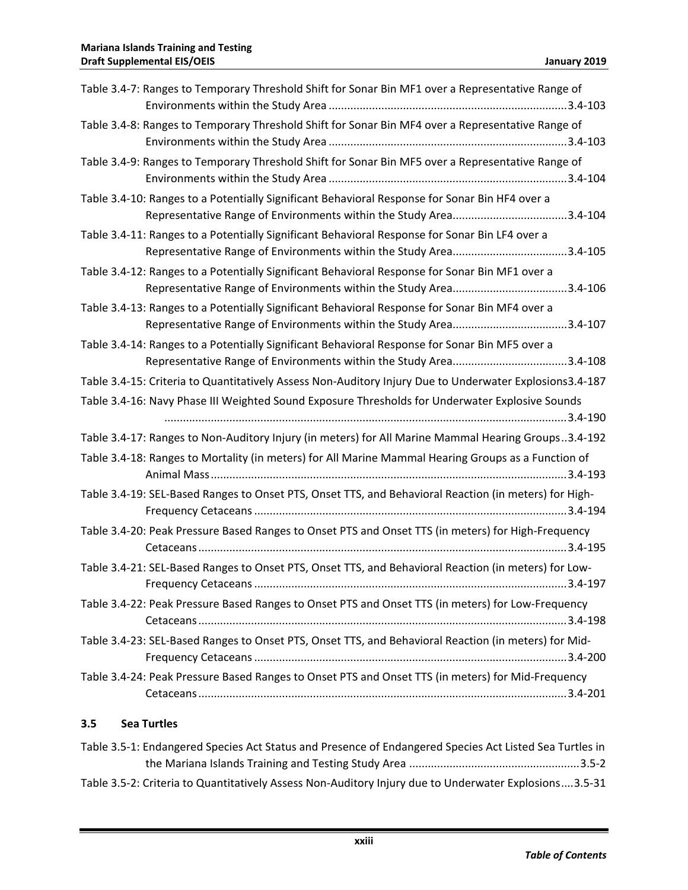| Table 3.4-7: Ranges to Temporary Threshold Shift for Sonar Bin MF1 over a Representative Range of       |
|---------------------------------------------------------------------------------------------------------|
| Table 3.4-8: Ranges to Temporary Threshold Shift for Sonar Bin MF4 over a Representative Range of       |
| Table 3.4-9: Ranges to Temporary Threshold Shift for Sonar Bin MF5 over a Representative Range of       |
| Table 3.4-10: Ranges to a Potentially Significant Behavioral Response for Sonar Bin HF4 over a          |
| Table 3.4-11: Ranges to a Potentially Significant Behavioral Response for Sonar Bin LF4 over a          |
| Table 3.4-12: Ranges to a Potentially Significant Behavioral Response for Sonar Bin MF1 over a          |
| Table 3.4-13: Ranges to a Potentially Significant Behavioral Response for Sonar Bin MF4 over a          |
| Table 3.4-14: Ranges to a Potentially Significant Behavioral Response for Sonar Bin MF5 over a          |
| Table 3.4-15: Criteria to Quantitatively Assess Non-Auditory Injury Due to Underwater Explosions3.4-187 |
| Table 3.4-16: Navy Phase III Weighted Sound Exposure Thresholds for Underwater Explosive Sounds         |
| Table 3.4-17: Ranges to Non-Auditory Injury (in meters) for All Marine Mammal Hearing Groups3.4-192     |
| Table 3.4-18: Ranges to Mortality (in meters) for All Marine Mammal Hearing Groups as a Function of     |
| Table 3.4-19: SEL-Based Ranges to Onset PTS, Onset TTS, and Behavioral Reaction (in meters) for High-   |
| Table 3.4-20: Peak Pressure Based Ranges to Onset PTS and Onset TTS (in meters) for High-Frequency      |
| Table 3.4-21: SEL-Based Ranges to Onset PTS, Onset TTS, and Behavioral Reaction (in meters) for Low-    |
| Table 3.4-22: Peak Pressure Based Ranges to Onset PTS and Onset TTS (in meters) for Low-Frequency       |
| Table 3.4-23: SEL-Based Ranges to Onset PTS, Onset TTS, and Behavioral Reaction (in meters) for Mid-    |
| Table 3.4-24: Peak Pressure Based Ranges to Onset PTS and Onset TTS (in meters) for Mid-Frequency       |

### **3.5 Sea Turtles**

| Table 3.5-1: Endangered Species Act Status and Presence of Endangered Species Act Listed Sea Turtles in |
|---------------------------------------------------------------------------------------------------------|
|                                                                                                         |
| Table 3.5-2: Criteria to Quantitatively Assess Non-Auditory Injury due to Underwater Explosions3.5-31   |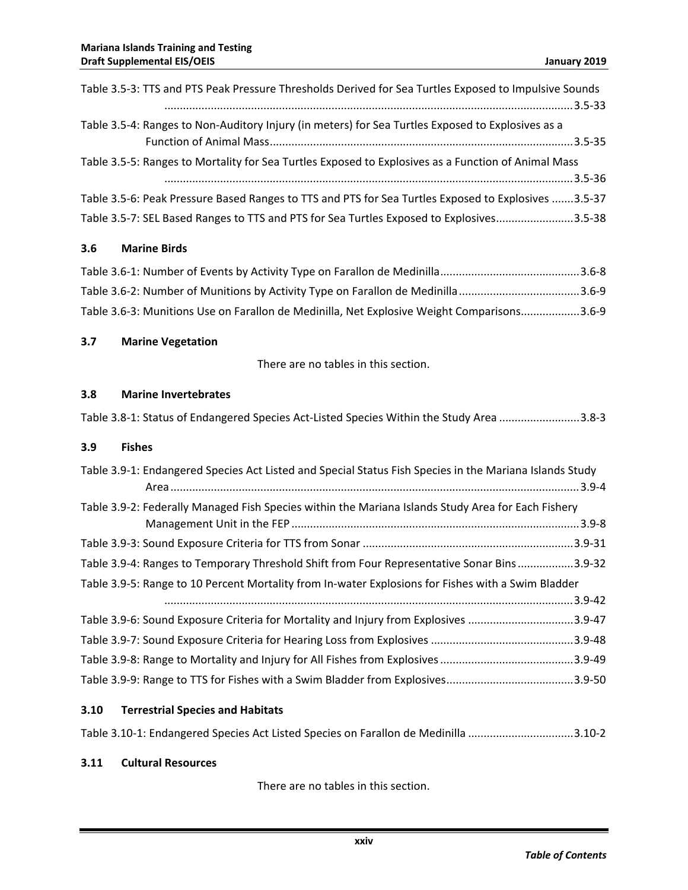| Table 3.5-3: TTS and PTS Peak Pressure Thresholds Derived for Sea Turtles Exposed to Impulsive Sounds |  |
|-------------------------------------------------------------------------------------------------------|--|
|                                                                                                       |  |
| Table 3.5-4: Ranges to Non-Auditory Injury (in meters) for Sea Turtles Exposed to Explosives as a     |  |
|                                                                                                       |  |
| Table 3.5-5: Ranges to Mortality for Sea Turtles Exposed to Explosives as a Function of Animal Mass   |  |
|                                                                                                       |  |
| Table 3.5-6: Peak Pressure Based Ranges to TTS and PTS for Sea Turtles Exposed to Explosives 3.5-37   |  |
| Table 3.5-7: SEL Based Ranges to TTS and PTS for Sea Turtles Exposed to Explosives3.5-38              |  |

### **3.6 Marine Birds**

| Table 3.6-3: Munitions Use on Farallon de Medinilla, Net Explosive Weight Comparisons3.6-9 |  |
|--------------------------------------------------------------------------------------------|--|

### **3.7 Marine Vegetation**

There are no tables in this section.

### **3.8 Marine Invertebrates**

|--|--|--|--|

#### **3.9 Fishes**

| Table 3.9-1: Endangered Species Act Listed and Special Status Fish Species in the Mariana Islands Study |  |
|---------------------------------------------------------------------------------------------------------|--|
| Table 3.9-2: Federally Managed Fish Species within the Mariana Islands Study Area for Each Fishery      |  |
|                                                                                                         |  |
| Table 3.9-4: Ranges to Temporary Threshold Shift from Four Representative Sonar Bins3.9-32              |  |
| Table 3.9-5: Range to 10 Percent Mortality from In-water Explosions for Fishes with a Swim Bladder      |  |
|                                                                                                         |  |
| Table 3.9-6: Sound Exposure Criteria for Mortality and Injury from Explosives 3.9-47                    |  |
|                                                                                                         |  |
|                                                                                                         |  |
|                                                                                                         |  |

### **3.10 Terrestrial Species and Habitats**

| Table 3.10-1: Endangered Species Act Listed Species on Farallon de Medinilla 3.10-2 |  |  |
|-------------------------------------------------------------------------------------|--|--|
|-------------------------------------------------------------------------------------|--|--|

### **3.11 Cultural Resources**

There are no tables in this section.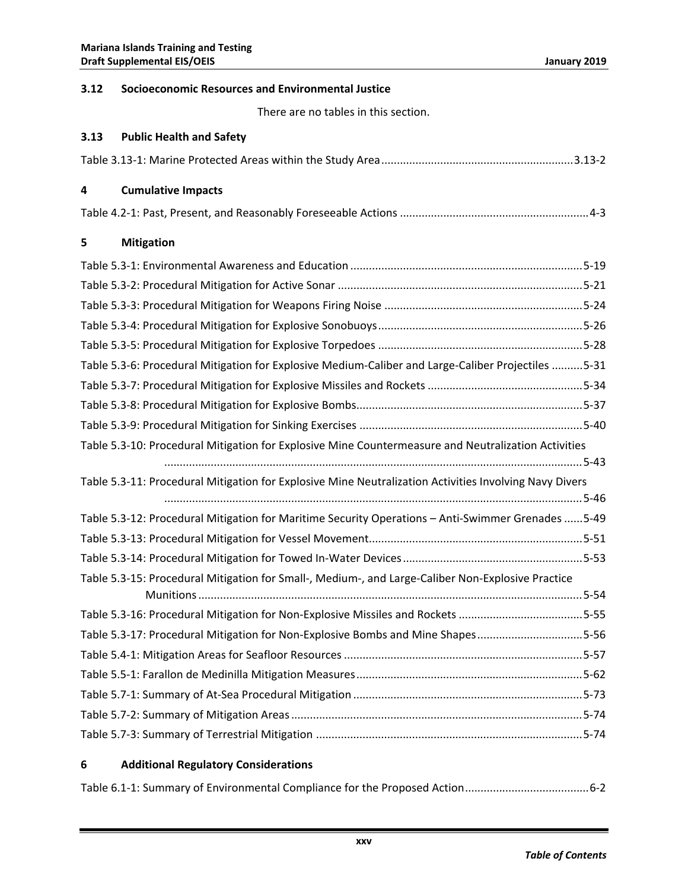### **3.12 Socioeconomic Resources and Environmental Justice**

There are no tables in this section.

### **3.13 Public Health and Safety**

|--|

#### **4 Cumulative Impacts**

|--|

### **5 Mitigation**

### **6 Additional Regulatory Considerations**

|--|--|--|